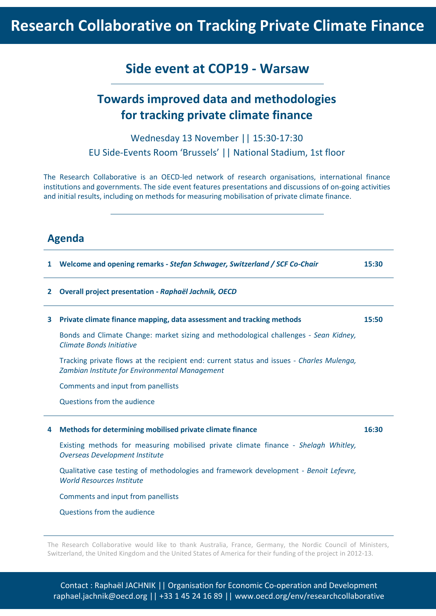# **Research Collaborative on Tracking Private Climate Finance**

## **Side event at COP19 - Warsaw**

## **Towards improved data and methodologies for tracking private climate finance**

Wednesday 13 November || 15:30-17:30 EU Side-Events Room 'Brussels' || National Stadium, 1st floor

The Research Collaborative is an OECD-led network of research organisations, international finance institutions and governments. The side event features presentations and discussions of on-going activities and initial results, including on methods for measuring mobilisation of private climate finance.

### **Agenda**

| 1 | Welcome and opening remarks - Stefan Schwager, Switzerland / SCF Co-Chair                                                                   | 15:30 |
|---|---------------------------------------------------------------------------------------------------------------------------------------------|-------|
| 2 | Overall project presentation - Raphaël Jachnik, OECD                                                                                        |       |
| 3 | Private climate finance mapping, data assessment and tracking methods                                                                       | 15:50 |
|   | Bonds and Climate Change: market sizing and methodological challenges - Sean Kidney,<br>Climate Bonds Initiative                            |       |
|   | Tracking private flows at the recipient end: current status and issues - Charles Mulenga,<br>Zambian Institute for Environmental Management |       |
|   | Comments and input from panellists                                                                                                          |       |
|   | Questions from the audience                                                                                                                 |       |
| 4 | Methods for determining mobilised private climate finance                                                                                   | 16:30 |
|   | Existing methods for measuring mobilised private climate finance - Shelagh Whitley,<br><b>Overseas Development Institute</b>                |       |
|   | Qualitative case testing of methodologies and framework development - Benoit Lefevre,<br><b>World Resources Institute</b>                   |       |
|   | Comments and input from panellists                                                                                                          |       |
|   | Questions from the audience                                                                                                                 |       |

The Research Collaborative would like to thank Australia, France, Germany, the Nordic Council of Ministers, Switzerland, the United Kingdom and the United States of America for their funding of the project in 2012-13.